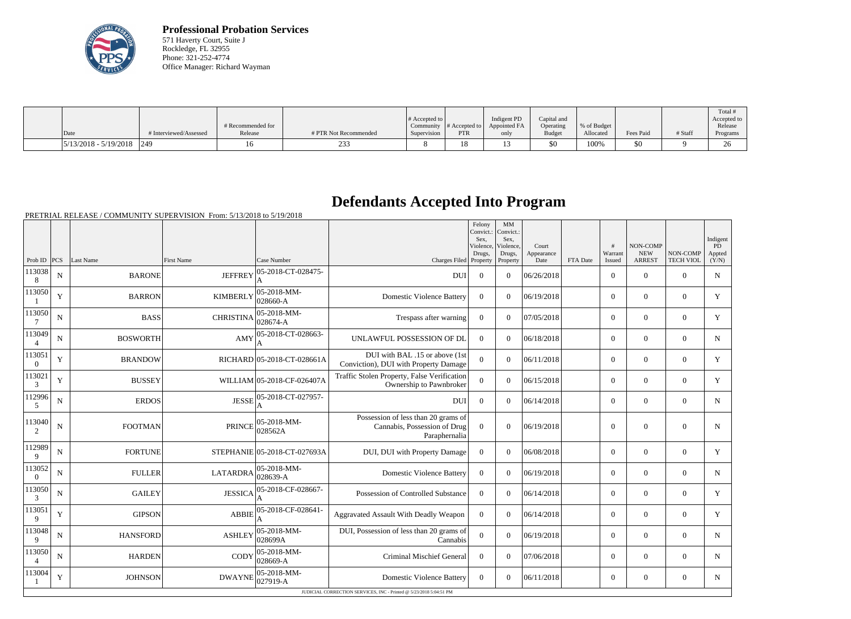

**Professional Probation Services** 571 Haverty Court, Suite J Rockledge, FL 32955 Phone: 321-252-4774 Office Manager: Richard Wayman

| Date                                                   | # Interviewed/Assessed | # Recommended for<br>Release | # PTR Not Recommended | $\#$ Accepted to $\ $<br>Supervision | Community $\#$ Accepted to<br><b>PTR</b> | Indigent PD<br>Appointed FA<br>only | Capital and<br>Operating<br><b>Budget</b> | % of Budget<br>Allocated | Fees Paid | # Staff | Total<br>Accepted to<br>Release<br>Programs |
|--------------------------------------------------------|------------------------|------------------------------|-----------------------|--------------------------------------|------------------------------------------|-------------------------------------|-------------------------------------------|--------------------------|-----------|---------|---------------------------------------------|
|                                                        |                        |                              |                       |                                      |                                          |                                     |                                           |                          |           |         |                                             |
| $\left  \frac{5}{13/2018} - \frac{5}{19/2018} \right $ | 1249                   |                              | 23.5                  |                                      | 1 O<br>10                                |                                     | \$0                                       | 100%                     | \$0       |         | $\sim$                                      |

## **Defendants Accepted Into Program**

PRETRIAL RELEASE / COMMUNITY SUPERVISION From: 5/13/2018 to 5/19/2018

|                          |             |                 |                   |                              |                                                                                      | Felony<br>Convict.:<br>Sex.<br>Violence,<br>Drugs, | MM<br>Convict.:<br>Sex.<br>Violence,<br>Drugs, | Court<br>Appearance |          | $\pm$<br>Warrant | NON-COMP<br><b>NEW</b> | NON-COMP         | Indigent<br>PD<br>Appted |
|--------------------------|-------------|-----------------|-------------------|------------------------------|--------------------------------------------------------------------------------------|----------------------------------------------------|------------------------------------------------|---------------------|----------|------------------|------------------------|------------------|--------------------------|
| Prob ID $ PCS $          |             | Last Name       | <b>First Name</b> | Case Number                  | Charges Filed                                                                        | Property                                           | Property                                       | Date                | FTA Date | Issued           | <b>ARREST</b>          | <b>TECH VIOL</b> | (Y/N)                    |
| 113038<br>8              | $\mathbf N$ | <b>BARONE</b>   | <b>JEFFREY</b>    | 05-2018-CT-028475-           | <b>DUI</b>                                                                           | $\theta$                                           | $\theta$                                       | 06/26/2018          |          | $\overline{0}$   | $\Omega$               | $\theta$         | N                        |
| 113050                   | Y           | <b>BARRON</b>   | <b>KIMBERLY</b>   | 05-2018-MM-<br>028660-A      | <b>Domestic Violence Battery</b>                                                     | $\theta$                                           | $\Omega$                                       | 06/19/2018          |          | $\overline{0}$   | $\mathbf{0}$           | $\mathbf{0}$     | Y                        |
| 113050<br>$\overline{7}$ | N           | <b>BASS</b>     | <b>CHRISTINA</b>  | 05-2018-MM-<br>028674-A      | Trespass after warning                                                               | $\overline{0}$                                     | $\theta$                                       | 07/05/2018          |          | $\theta$         | $\Omega$               | $\theta$         | $\mathbf Y$              |
| 113049<br>$\overline{4}$ | N           | <b>BOSWORTH</b> | AMY               | 05-2018-CT-028663-           | UNLAWFUL POSSESSION OF DL                                                            | $\theta$                                           | $\theta$                                       | 06/18/2018          |          | $\Omega$         | $\Omega$               | $\theta$         | N                        |
| 113051<br>$\overline{0}$ | Y           | <b>BRANDOW</b>  |                   | RICHARD 05-2018-CT-028661A   | DUI with BAL .15 or above (1st<br>Conviction), DUI with Property Damage              | $\overline{0}$                                     | $\Omega$                                       | 06/11/2018          |          | $\overline{0}$   | $\boldsymbol{0}$       | $\overline{0}$   | Y                        |
| 113021<br>3              | Y           | <b>BUSSEY</b>   |                   | WILLIAM 05-2018-CF-026407A   | Traffic Stolen Property, False Verification<br>Ownership to Pawnbroker               | $\overline{0}$                                     | $\Omega$                                       | 06/15/2018          |          | $\Omega$         | $\theta$               | $\overline{0}$   | Y                        |
| 112996<br>5              | $\mathbf N$ | <b>ERDOS</b>    | <b>JESSE</b>      | 05-2018-CT-027957-           | <b>DUI</b>                                                                           | $\theta$                                           | $\Omega$                                       | 06/14/2018          |          | $\overline{0}$   | $\mathbf{0}$           | $\theta$         | $\mathbf N$              |
| 113040<br>2              | ${\bf N}$   | <b>FOOTMAN</b>  | <b>PRINCE</b>     | 05-2018-MM-<br>028562A       | Possession of less than 20 grams of<br>Cannabis, Possession of Drug<br>Paraphernalia | $\overline{0}$                                     | $\theta$                                       | 06/19/2018          |          | $\mathbf{0}$     | $\mathbf{0}$           | $\mathbf{0}$     | $\mathbf N$              |
| 112989<br>9              | $\mathbf N$ | <b>FORTUNE</b>  |                   | STEPHANIE 05-2018-CT-027693A | DUI, DUI with Property Damage                                                        | $\theta$                                           | $\theta$                                       | 06/08/2018          |          | $\overline{0}$   | $\boldsymbol{0}$       | $\overline{0}$   | Y                        |
| 113052<br>$\overline{0}$ | $\mathbf N$ | <b>FULLER</b>   | <b>LATARDRA</b>   | 05-2018-MM-<br>028639-A      | <b>Domestic Violence Battery</b>                                                     | $\overline{0}$                                     | $\Omega$                                       | 06/19/2018          |          | $\overline{0}$   | $\mathbf{0}$           | $\overline{0}$   | $\mathbf N$              |
| 113050<br>3              | N           | <b>GAILEY</b>   | <b>JESSICA</b>    | 05-2018-CF-028667-           | Possession of Controlled Substance                                                   | $\overline{0}$                                     | $\theta$                                       | 06/14/2018          |          | $\overline{0}$   | $\Omega$               | $\Omega$         | Y                        |
| 113051<br>9              | Y           | <b>GIPSON</b>   | <b>ABBIE</b>      | 05-2018-CF-028641-           | Aggravated Assault With Deadly Weapon                                                | $\Omega$                                           | $\theta$                                       | 06/14/2018          |          | $\Omega$         | $\Omega$               | $\Omega$         | Y                        |
| 113048<br>9              | N           | <b>HANSFORD</b> | <b>ASHLEY</b>     | 05-2018-MM-<br>028699A       | DUI, Possession of less than 20 grams of<br>Cannabis                                 | $\Omega$                                           | $\Omega$                                       | 06/19/2018          |          | $\overline{0}$   | $\Omega$               | $\overline{0}$   | $\mathbf N$              |
| 113050<br>$\overline{4}$ | N           | <b>HARDEN</b>   | CODY              | 05-2018-MM-<br>028669-A      | <b>Criminal Mischief General</b>                                                     | $\overline{0}$                                     | $\Omega$                                       | 07/06/2018          |          | $\overline{0}$   | $\Omega$               | $\Omega$         | $\mathbf N$              |
| 113004                   | Y           | <b>JOHNSON</b>  | <b>DWAYNE</b>     | 05-2018-MM-<br>027919-A      | <b>Domestic Violence Battery</b>                                                     | $\Omega$                                           | $\Omega$                                       | 06/11/2018          |          | $\overline{0}$   | $\theta$               | $\Omega$         | N                        |
|                          |             |                 |                   |                              | JUDICIAL CORRECTION SERVICES, INC - Printed @ 5/23/2018 5:04:51 PM                   |                                                    |                                                |                     |          |                  |                        |                  |                          |